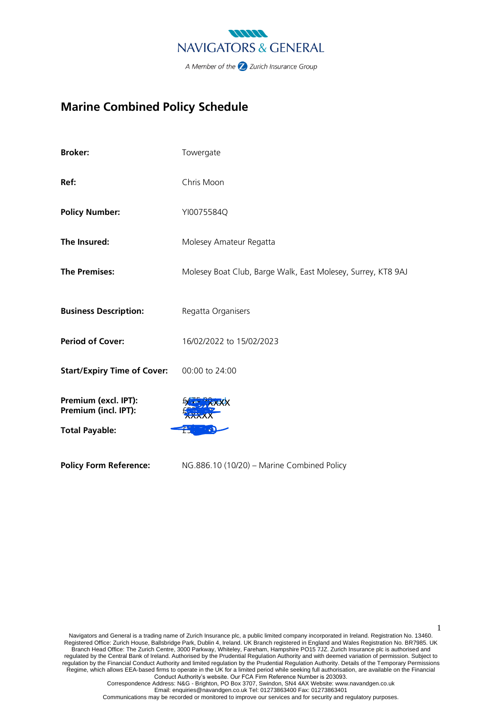

# **Marine Combined Policy Schedule**

| <b>Broker:</b>                               | Towergate                                                    |
|----------------------------------------------|--------------------------------------------------------------|
| Ref:                                         | Chris Moon                                                   |
| <b>Policy Number:</b>                        | YI0075584Q                                                   |
| The Insured:                                 | Molesey Amateur Regatta                                      |
| <b>The Premises:</b>                         | Molesey Boat Club, Barge Walk, East Molesey, Surrey, KT8 9AJ |
| <b>Business Description:</b>                 | Regatta Organisers                                           |
| <b>Period of Cover:</b>                      | 16/02/2022 to 15/02/2023                                     |
| <b>Start/Expiry Time of Cover:</b>           | 00:00 to 24:00                                               |
| Premium (excl. IPT):<br>Premium (incl. IPT): |                                                              |
| <b>Total Payable:</b>                        |                                                              |
| <b>Policy Form Reference:</b>                | NG.886.10 (10/20) - Marine Combined Policy                   |

Navigators and General is a trading name of Zurich Insurance plc, a public limited company incorporated in Ireland. Registration No. 13460. Registered Office: Zurich House, Ballsbridge Park, Dublin 4, Ireland. UK Branch registered in England and Wales Registration No. BR7985. UK Branch Head Office: The Zurich Centre, 3000 Parkway, Whiteley, Fareham, Hampshire PO15 7JZ. Zurich Insurance plc is authorised and regulated by the Central Bank of Ireland. Authorised by the Prudential Regulation Authority and with deemed variation of permission. Subject to regulation by the Financial Conduct Authority and limited regulation by the Prudential Regulation Authority. Details of the Temporary Permissions Regime, which allows EEA‐based firms to operate in the UK for a limited period while seeking full authorisation, are available on the Financial Conduct Authority's website. Our FCA Firm Reference Number is 203093.

1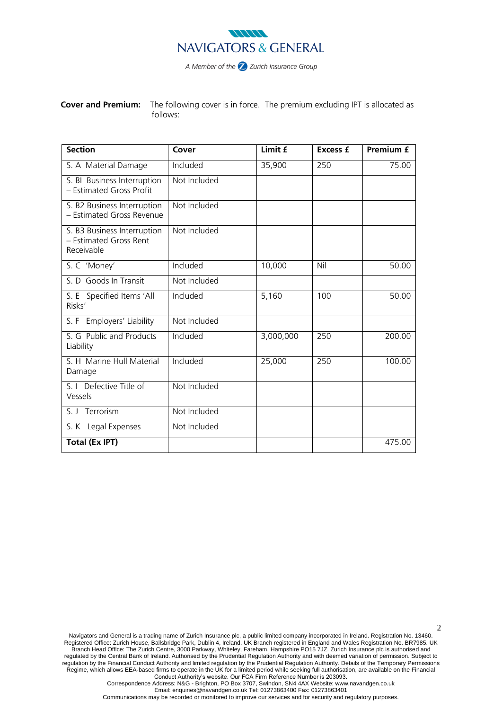

**Cover and Premium:** The following cover is in force. The premium excluding IPT is allocated as follows:

| <b>Section</b>                                                      | Cover        | Limit £   | <b>Excess £</b> | <b>Premium £</b> |
|---------------------------------------------------------------------|--------------|-----------|-----------------|------------------|
| S. A Material Damage                                                | Included     | 35,900    | 250             | 75.00            |
| S. BI Business Interruption<br>- Estimated Gross Profit             | Not Included |           |                 |                  |
| S. B2 Business Interruption<br>- Estimated Gross Revenue            | Not Included |           |                 |                  |
| S. B3 Business Interruption<br>- Estimated Gross Rent<br>Receivable | Not Included |           |                 |                  |
| S. C 'Money'                                                        | Included     | 10,000    | Nil             | 50.00            |
| S. D Goods In Transit                                               | Not Included |           |                 |                  |
| S. E Specified Items 'All<br>Risks'                                 | Included     | 5,160     | 100             | 50.00            |
| S. F Employers' Liability                                           | Not Included |           |                 |                  |
| S. G Public and Products<br>Liability                               | Included     | 3,000,000 | 250             | 200.00           |
| S. H Marine Hull Material<br>Damage                                 | Included     | 25,000    | 250             | 100.00           |
| S. I Defective Title of<br>Vessels                                  | Not Included |           |                 |                  |
| S. J Terrorism                                                      | Not Included |           |                 |                  |
| S. K Legal Expenses                                                 | Not Included |           |                 |                  |
| <b>Total (Ex IPT)</b>                                               |              |           |                 | 475.00           |

Navigators and General is a trading name of Zurich Insurance plc, a public limited company incorporated in Ireland. Registration No. 13460. Registered Office: Zurich House, Ballsbridge Park, Dublin 4, Ireland. UK Branch registered in England and Wales Registration No. BR7985. UK Branch Head Office: The Zurich Centre, 3000 Parkway, Whiteley, Fareham, Hampshire PO15 7JZ. Zurich Insurance plc is authorised and regulated by the Central Bank of Ireland. Authorised by the Prudential Regulation Authority and with deemed variation of permission. Subject to regulation by the Financial Conduct Authority and limited regulation by the Prudential Regulation Authority. Details of the Temporary Permissions Regime, which allows EEA‐based firms to operate in the UK for a limited period while seeking full authorisation, are available on the Financial Conduct Authority's website. Our FCA Firm Reference Number is 203093.

2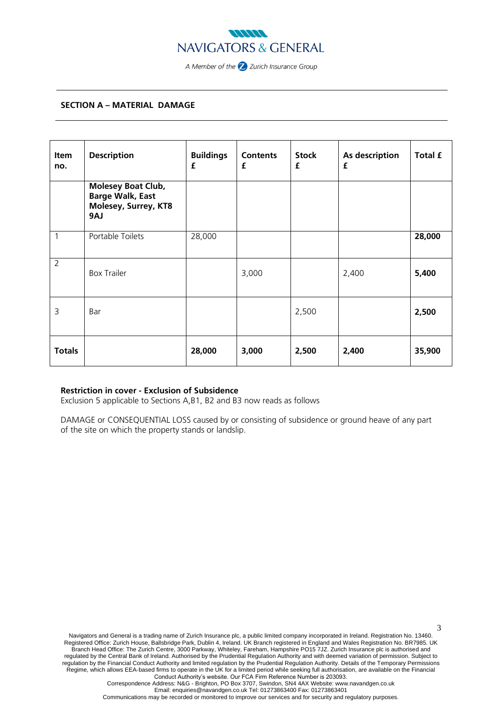

# **SECTION A – MATERIAL DAMAGE**

| Item<br>no.    | <b>Description</b>                                                                  | <b>Buildings</b><br>£ | <b>Contents</b><br>£ | <b>Stock</b><br>£ | As description<br>£ | Total £ |
|----------------|-------------------------------------------------------------------------------------|-----------------------|----------------------|-------------------|---------------------|---------|
|                | <b>Molesey Boat Club,</b><br><b>Barge Walk, East</b><br>Molesey, Surrey, KT8<br>9AJ |                       |                      |                   |                     |         |
| 1              | Portable Toilets                                                                    | 28,000                |                      |                   |                     | 28,000  |
| $\overline{2}$ | <b>Box Trailer</b>                                                                  |                       | 3,000                |                   | 2,400               | 5,400   |
| 3              | Bar                                                                                 |                       |                      | 2,500             |                     | 2,500   |
| <b>Totals</b>  |                                                                                     | 28,000                | 3,000                | 2,500             | 2,400               | 35,900  |

# **Restriction in cover - Exclusion of Subsidence**

Exclusion 5 applicable to Sections A,B1, B2 and B3 now reads as follows

DAMAGE or CONSEQUENTIAL LOSS caused by or consisting of subsidence or ground heave of any part of the site on which the property stands or landslip.

3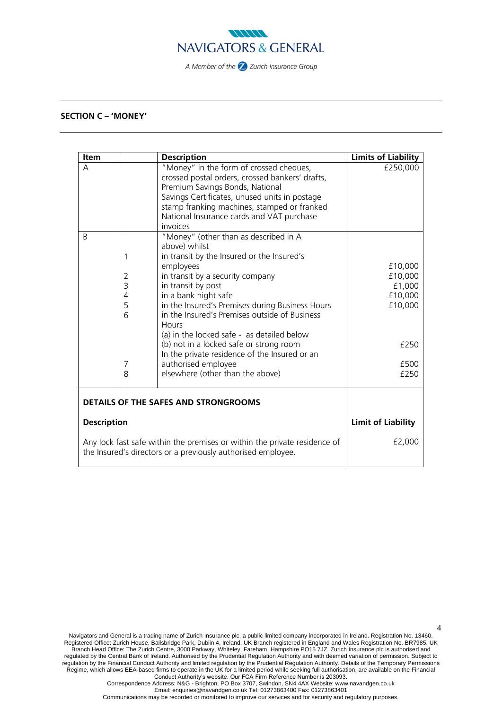

# **SECTION C – 'MONEY'**

| <b>Item</b>                                                                                                                               |                | <b>Description</b>                                                                                                                                                                                                                                                                     | <b>Limits of Liability</b> |
|-------------------------------------------------------------------------------------------------------------------------------------------|----------------|----------------------------------------------------------------------------------------------------------------------------------------------------------------------------------------------------------------------------------------------------------------------------------------|----------------------------|
| А                                                                                                                                         |                | "Money" in the form of crossed cheques,<br>crossed postal orders, crossed bankers' drafts,<br>Premium Savings Bonds, National<br>Savings Certificates, unused units in postage<br>stamp franking machines, stamped or franked<br>National Insurance cards and VAT purchase<br>invoices | £250,000                   |
| B                                                                                                                                         |                | "Money" (other than as described in A                                                                                                                                                                                                                                                  |                            |
|                                                                                                                                           | 1              | above) whilst<br>in transit by the Insured or the Insured's                                                                                                                                                                                                                            |                            |
|                                                                                                                                           |                | employees                                                                                                                                                                                                                                                                              | £10,000                    |
|                                                                                                                                           | $\overline{2}$ | in transit by a security company                                                                                                                                                                                                                                                       | £10,000                    |
|                                                                                                                                           | 3              | in transit by post                                                                                                                                                                                                                                                                     | £1,000                     |
|                                                                                                                                           | 4              | in a bank night safe                                                                                                                                                                                                                                                                   | £10,000                    |
|                                                                                                                                           | 5<br>6         | in the Insured's Premises during Business Hours<br>in the Insured's Premises outside of Business<br>Hours<br>(a) in the locked safe - as detailed below                                                                                                                                | £10,000                    |
|                                                                                                                                           |                | (b) not in a locked safe or strong room<br>In the private residence of the Insured or an                                                                                                                                                                                               | £250                       |
|                                                                                                                                           | 7              | authorised employee                                                                                                                                                                                                                                                                    | £500                       |
|                                                                                                                                           | 8              | elsewhere (other than the above)                                                                                                                                                                                                                                                       | £250                       |
| <b>DETAILS OF THE SAFES AND STRONGROOMS</b>                                                                                               |                |                                                                                                                                                                                                                                                                                        |                            |
| <b>Description</b>                                                                                                                        |                | <b>Limit of Liability</b>                                                                                                                                                                                                                                                              |                            |
| Any lock fast safe within the premises or within the private residence of<br>the Insured's directors or a previously authorised employee. |                | £2,000                                                                                                                                                                                                                                                                                 |                            |

4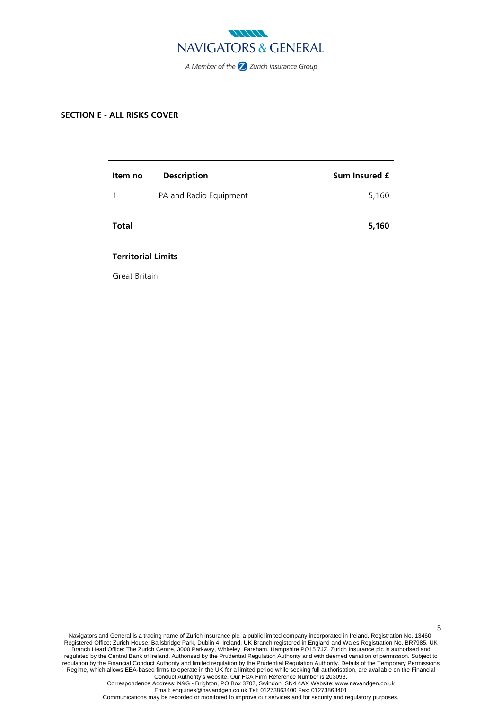

# **SECTION E - ALL RISKS COVER**

| Item no                   | <b>Description</b>     | Sum Insured £ |  |  |
|---------------------------|------------------------|---------------|--|--|
| 1                         | PA and Radio Equipment | 5,160         |  |  |
| <b>Total</b>              |                        | 5,160         |  |  |
| <b>Territorial Limits</b> |                        |               |  |  |
| Great Britain             |                        |               |  |  |

Navigators and General is a trading name of Zurich Insurance plc, a public limited company incorporated in Ireland. Registration No. 13460. Registered Office: Zurich House, Ballsbridge Park, Dublin 4, Ireland. UK Branch registered in England and Wales Registration No. BR7985. UK Branch Head Office: The Zurich Centre, 3000 Parkway, Whiteley, Fareham, Hampshire PO15 7JZ. Zurich Insurance plc is authorised and regulated by the Central Bank of Ireland. Authorised by the Prudential Regulation Authority and with deemed variation of permission. Subject to regulation by the Financial Conduct Authority and limited regulation by the Prudential Regulation Authority. Details of the Temporary Permissions Regime, which allows EEA‐based firms to operate in the UK for a limited period while seeking full authorisation, are available on the Financial Conduct Authority's website. Our FCA Firm Reference Number is 203093.

5

Correspondence Address: N&G - Brighton, PO Box 3707, Swindon, SN4 4AX Website: www.navandgen.co.uk Email: enquiries@navandgen.co.uk Tel: 01273863400 Fax: 01273863401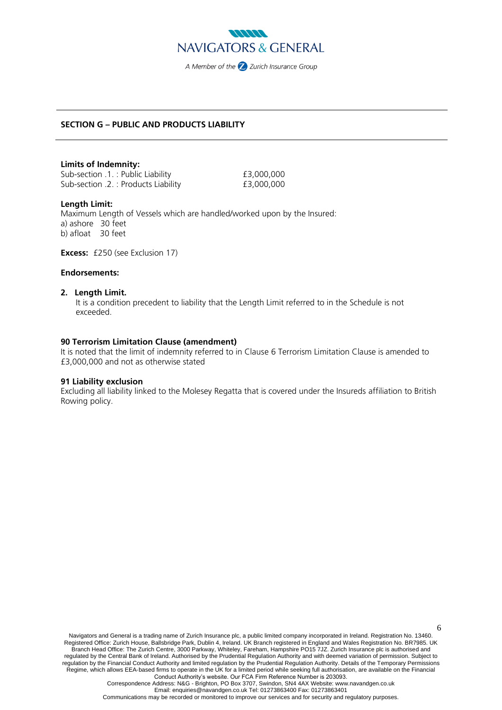

# **SECTION G – PUBLIC AND PRODUCTS LIABILITY**

## **Limits of Indemnity:**

Sub-section .1. : Public Liability **E3,000,000** Sub-section .2. : Products Liability  $\qquad 2.$  £3,000,000

## **Length Limit:**

Maximum Length of Vessels which are handled/worked upon by the Insured: a) ashore 30 feet b) afloat 30 feet

**Excess:** £250 (see Exclusion 17)

# **Endorsements:**

### **2. Length Limit.**

It is a condition precedent to liability that the Length Limit referred to in the Schedule is not exceeded.

## **90 Terrorism Limitation Clause (amendment)**

It is noted that the limit of indemnity referred to in Clause 6 Terrorism Limitation Clause is amended to £3,000,000 and not as otherwise stated

## **91 Liability exclusion**

Excluding all liability linked to the Molesey Regatta that is covered under the Insureds affiliation to British Rowing policy.

Navigators and General is a trading name of Zurich Insurance plc, a public limited company incorporated in Ireland. Registration No. 13460. Registered Office: Zurich House, Ballsbridge Park, Dublin 4, Ireland. UK Branch registered in England and Wales Registration No. BR7985. UK Branch Head Office: The Zurich Centre, 3000 Parkway, Whiteley, Fareham, Hampshire PO15 7JZ. Zurich Insurance plc is authorised and regulated by the Central Bank of Ireland. Authorised by the Prudential Regulation Authority and with deemed variation of permission. Subject to regulation by the Financial Conduct Authority and limited regulation by the Prudential Regulation Authority. Details of the Temporary Permissions Regime, which allows EEA‐based firms to operate in the UK for a limited period while seeking full authorisation, are available on the Financial Conduct Authority's website. Our FCA Firm Reference Number is 203093.

6